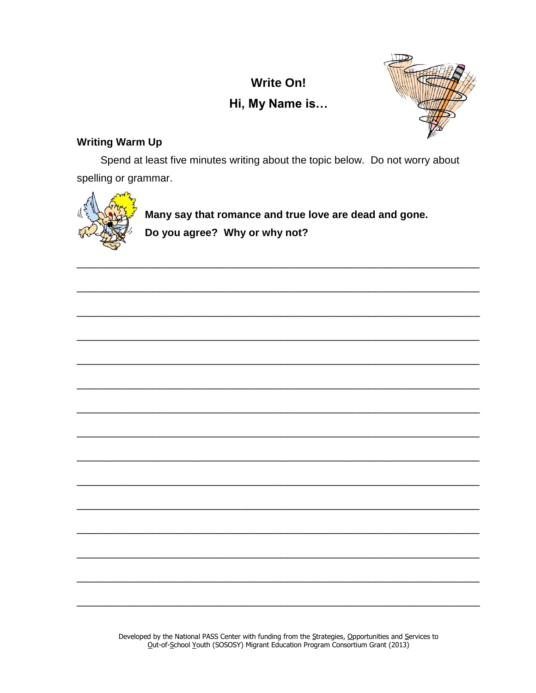# **Write On!** Hi, My Name is...



# **Writing Warm Up**

Spend at least five minutes writing about the topic below. Do not worry about spelling or grammar.



Many say that romance and true love are dead and gone. Do you agree? Why or why not?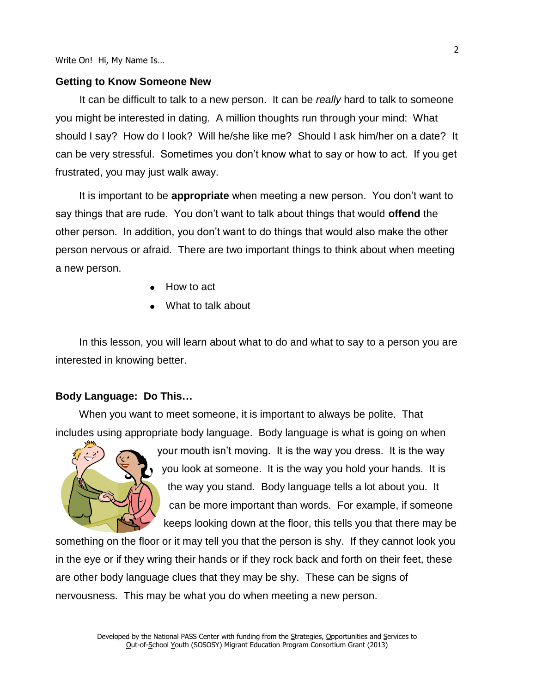### **Getting to Know Someone New**

It can be difficult to talk to a new person. It can be *really* hard to talk to someone you might be interested in dating. A million thoughts run through your mind: What should I say? How do I look? Will he/she like me? Should I ask him/her on a date? It can be very stressful. Sometimes you don't know what to say or how to act. If you get frustrated, you may just walk away.

It is important to be **appropriate** when meeting a new person. You don't want to say things that are rude. You don't want to talk about things that would **offend** the other person. In addition, you don't want to do things that would also make the other person nervous or afraid. There are two important things to think about when meeting a new person.

- How to act
- What to talk about

In this lesson, you will learn about what to do and what to say to a person you are interested in knowing better.

#### **Body Language: Do This…**

When you want to meet someone, it is important to always be polite. That includes using appropriate body language. Body language is what is going on when



your mouth isn't moving. It is the way you dress. It is the way you look at someone. It is the way you hold your hands. It is the way you stand. Body language tells a lot about you. It can be more important than words. For example, if someone keeps looking down at the floor, this tells you that there may be

something on the floor or it may tell you that the person is shy. If they cannot look you in the eye or if they wring their hands or if they rock back and forth on their feet, these are other body language clues that they may be shy. These can be signs of nervousness. This may be what you do when meeting a new person.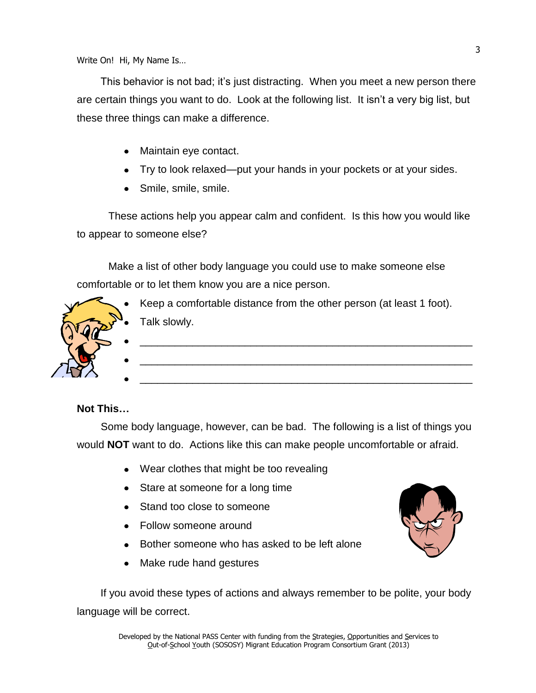This behavior is not bad; it's just distracting. When you meet a new person there are certain things you want to do. Look at the following list. It isn't a very big list, but these three things can make a difference.

- Maintain eye contact.
- Try to look relaxed—put your hands in your pockets or at your sides.
- Smile, smile, smile.

These actions help you appear calm and confident. Is this how you would like to appear to someone else?

Make a list of other body language you could use to make someone else comfortable or to let them know you are a nice person.



## **Not This…**

Some body language, however, can be bad. The following is a list of things you would **NOT** want to do. Actions like this can make people uncomfortable or afraid.

- Wear clothes that might be too revealing
- Stare at someone for a long time
- Stand too close to someone
- Follow someone around
- Bother someone who has asked to be left alone
- Make rude hand gestures

If you avoid these types of actions and always remember to be polite, your body language will be correct.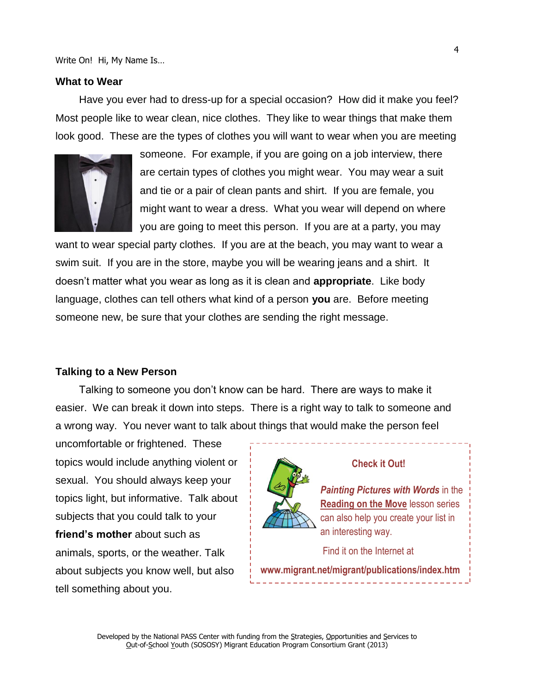#### **What to Wear**

Have you ever had to dress-up for a special occasion? How did it make you feel? Most people like to wear clean, nice clothes. They like to wear things that make them look good. These are the types of clothes you will want to wear when you are meeting



someone. For example, if you are going on a job interview, there are certain types of clothes you might wear. You may wear a suit and tie or a pair of clean pants and shirt. If you are female, you might want to wear a dress. What you wear will depend on where you are going to meet this person. If you are at a party, you may

want to wear special party clothes. If you are at the beach, you may want to wear a swim suit. If you are in the store, maybe you will be wearing jeans and a shirt. It doesn't matter what you wear as long as it is clean and **appropriate**. Like body language, clothes can tell others what kind of a person **you** are. Before meeting someone new, be sure that your clothes are sending the right message.

#### **Talking to a New Person**

Talking to someone you don't know can be hard. There are ways to make it easier. We can break it down into steps. There is a right way to talk to someone and a wrong way. You never want to talk about things that would make the person feel

uncomfortable or frightened. These topics would include anything violent or sexual. You should always keep your topics light, but informative. Talk about subjects that you could talk to your **friend's mother** about such as animals, sports, or the weather. Talk about subjects you know well, but also tell something about you.



## **Check it Out!**

*Painting Pictures with Words* in the **Reading on the Move** lesson series can also help you create your list in an interesting way.

Find it on the Internet at

**www.migrant.net/migrant/publications/index.htm**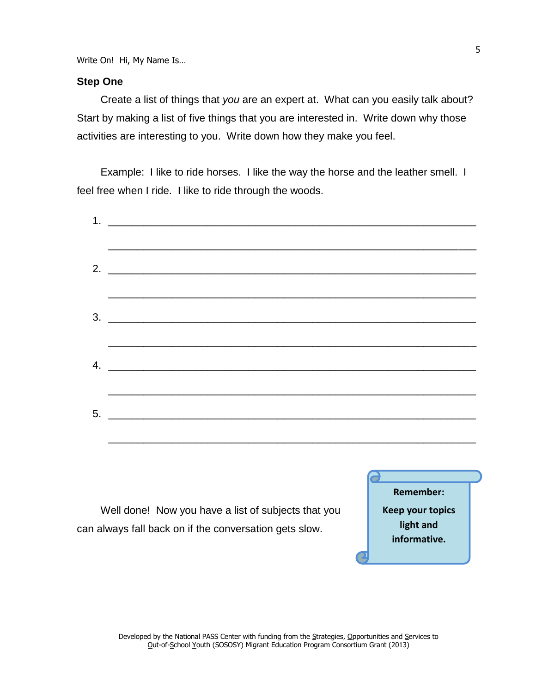## **Step One**

Create a list of things that *you* are an expert at. What can you easily talk about? Start by making a list of five things that you are interested in. Write down why those activities are interesting to you. Write down how they make you feel.

Example: I like to ride horses. I like the way the horse and the leather smell. I feel free when I ride. I like to ride through the woods.

| 2. $\frac{1}{2}$ $\frac{1}{2}$ $\frac{1}{2}$ $\frac{1}{2}$ $\frac{1}{2}$ $\frac{1}{2}$ $\frac{1}{2}$ $\frac{1}{2}$ $\frac{1}{2}$ $\frac{1}{2}$ $\frac{1}{2}$ $\frac{1}{2}$ $\frac{1}{2}$ $\frac{1}{2}$ $\frac{1}{2}$ $\frac{1}{2}$ $\frac{1}{2}$ $\frac{1}{2}$ $\frac{1}{2}$ $\frac{1}{2}$ $\frac{1}{2}$ $\frac{1}{2}$ |  |  |
|------------------------------------------------------------------------------------------------------------------------------------------------------------------------------------------------------------------------------------------------------------------------------------------------------------------------|--|--|
|                                                                                                                                                                                                                                                                                                                        |  |  |
|                                                                                                                                                                                                                                                                                                                        |  |  |
|                                                                                                                                                                                                                                                                                                                        |  |  |
|                                                                                                                                                                                                                                                                                                                        |  |  |
|                                                                                                                                                                                                                                                                                                                        |  |  |
|                                                                                                                                                                                                                                                                                                                        |  |  |
|                                                                                                                                                                                                                                                                                                                        |  |  |
|                                                                                                                                                                                                                                                                                                                        |  |  |

Well done! Now you have a list of subjects that you can always fall back on if the conversation gets slow.

**Remember: Keep your topics light and informative.**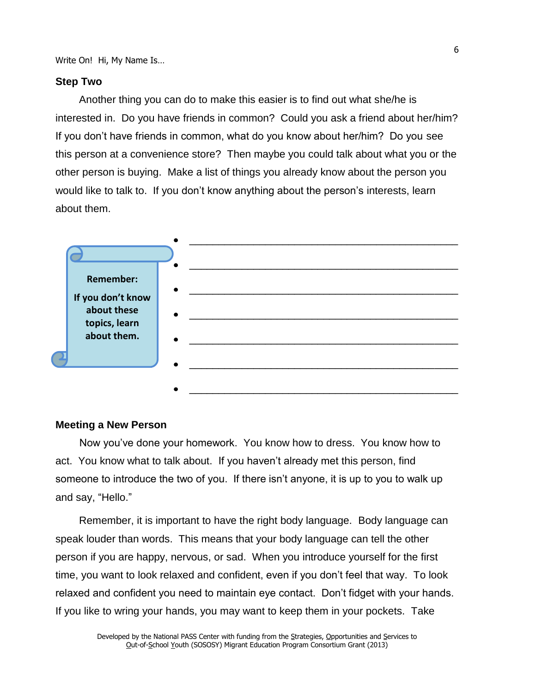## **Step Two**

Another thing you can do to make this easier is to find out what she/he is interested in. Do you have friends in common? Could you ask a friend about her/him? If you don't have friends in common, what do you know about her/him? Do you see this person at a convenience store? Then maybe you could talk about what you or the other person is buying. Make a list of things you already know about the person you would like to talk to. If you don't know anything about the person's interests, learn about them.



#### **Meeting a New Person**

Now you've done your homework. You know how to dress. You know how to act. You know what to talk about. If you haven't already met this person, find someone to introduce the two of you. If there isn't anyone, it is up to you to walk up and say, "Hello."

Remember, it is important to have the right body language. Body language can speak louder than words. This means that your body language can tell the other person if you are happy, nervous, or sad. When you introduce yourself for the first time, you want to look relaxed and confident, even if you don't feel that way. To look relaxed and confident you need to maintain eye contact. Don't fidget with your hands. If you like to wring your hands, you may want to keep them in your pockets. Take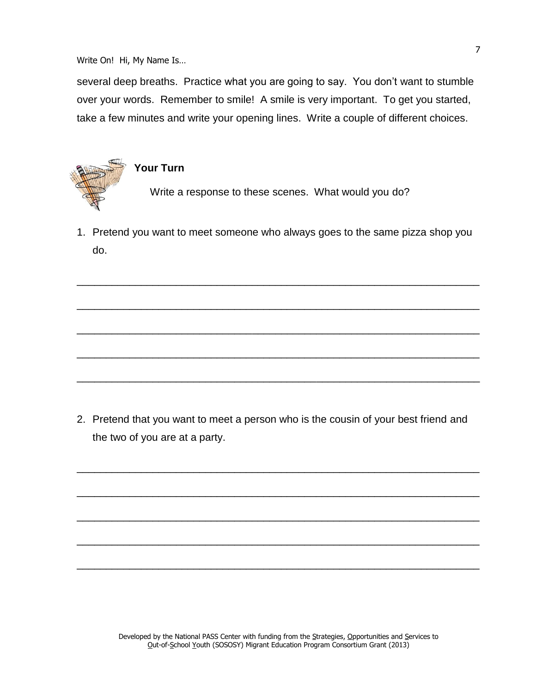several deep breaths. Practice what you are going to say. You don't want to stumble over your words. Remember to smile! A smile is very important. To get you started, take a few minutes and write your opening lines. Write a couple of different choices.



# **Your Turn**

Write a response to these scenes. What would you do?

1. Pretend you want to meet someone who always goes to the same pizza shop you do.

\_\_\_\_\_\_\_\_\_\_\_\_\_\_\_\_\_\_\_\_\_\_\_\_\_\_\_\_\_\_\_\_\_\_\_\_\_\_\_\_\_\_\_\_\_\_\_\_\_\_\_\_\_\_\_\_\_\_\_\_\_\_\_\_\_\_\_\_\_

\_\_\_\_\_\_\_\_\_\_\_\_\_\_\_\_\_\_\_\_\_\_\_\_\_\_\_\_\_\_\_\_\_\_\_\_\_\_\_\_\_\_\_\_\_\_\_\_\_\_\_\_\_\_\_\_\_\_\_\_\_\_\_\_\_\_\_\_\_

\_\_\_\_\_\_\_\_\_\_\_\_\_\_\_\_\_\_\_\_\_\_\_\_\_\_\_\_\_\_\_\_\_\_\_\_\_\_\_\_\_\_\_\_\_\_\_\_\_\_\_\_\_\_\_\_\_\_\_\_\_\_\_\_\_\_\_\_\_

\_\_\_\_\_\_\_\_\_\_\_\_\_\_\_\_\_\_\_\_\_\_\_\_\_\_\_\_\_\_\_\_\_\_\_\_\_\_\_\_\_\_\_\_\_\_\_\_\_\_\_\_\_\_\_\_\_\_\_\_\_\_\_\_\_\_\_\_\_

\_\_\_\_\_\_\_\_\_\_\_\_\_\_\_\_\_\_\_\_\_\_\_\_\_\_\_\_\_\_\_\_\_\_\_\_\_\_\_\_\_\_\_\_\_\_\_\_\_\_\_\_\_\_\_\_\_\_\_\_\_\_\_\_\_\_\_\_\_

2. Pretend that you want to meet a person who is the cousin of your best friend and the two of you are at a party.

\_\_\_\_\_\_\_\_\_\_\_\_\_\_\_\_\_\_\_\_\_\_\_\_\_\_\_\_\_\_\_\_\_\_\_\_\_\_\_\_\_\_\_\_\_\_\_\_\_\_\_\_\_\_\_\_\_\_\_\_\_\_\_\_\_\_\_\_\_

\_\_\_\_\_\_\_\_\_\_\_\_\_\_\_\_\_\_\_\_\_\_\_\_\_\_\_\_\_\_\_\_\_\_\_\_\_\_\_\_\_\_\_\_\_\_\_\_\_\_\_\_\_\_\_\_\_\_\_\_\_\_\_\_\_\_\_\_\_

\_\_\_\_\_\_\_\_\_\_\_\_\_\_\_\_\_\_\_\_\_\_\_\_\_\_\_\_\_\_\_\_\_\_\_\_\_\_\_\_\_\_\_\_\_\_\_\_\_\_\_\_\_\_\_\_\_\_\_\_\_\_\_\_\_\_\_\_\_

\_\_\_\_\_\_\_\_\_\_\_\_\_\_\_\_\_\_\_\_\_\_\_\_\_\_\_\_\_\_\_\_\_\_\_\_\_\_\_\_\_\_\_\_\_\_\_\_\_\_\_\_\_\_\_\_\_\_\_\_\_\_\_\_\_\_\_\_\_

\_\_\_\_\_\_\_\_\_\_\_\_\_\_\_\_\_\_\_\_\_\_\_\_\_\_\_\_\_\_\_\_\_\_\_\_\_\_\_\_\_\_\_\_\_\_\_\_\_\_\_\_\_\_\_\_\_\_\_\_\_\_\_\_\_\_\_\_\_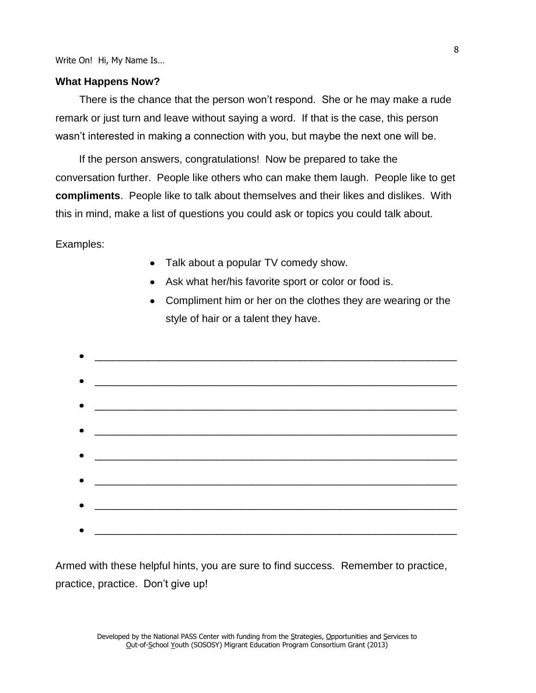#### **What Happens Now?**

There is the chance that the person won't respond. She or he may make a rude remark or just turn and leave without saying a word. If that is the case, this person wasn't interested in making a connection with you, but maybe the next one will be.

If the person answers, congratulations! Now be prepared to take the conversation further. People like others who can make them laugh. People like to get **compliments**. People like to talk about themselves and their likes and dislikes. With this in mind, make a list of questions you could ask or topics you could talk about.

Examples:

- Talk about a popular TV comedy show.
- Ask what her/his favorite sport or color or food is.
- Compliment him or her on the clothes they are wearing or the style of hair or a talent they have.
- \_\_\_\_\_\_\_\_\_\_\_\_\_\_\_\_\_\_\_\_\_\_\_\_\_\_\_\_\_\_\_\_\_\_\_\_\_\_\_\_\_\_\_\_\_\_\_\_\_\_\_\_\_\_\_\_\_\_\_\_\_\_ \_\_\_\_\_\_\_\_\_\_\_\_\_\_\_\_\_\_\_\_\_\_\_\_\_\_\_\_\_\_\_\_\_\_\_\_\_\_\_\_\_\_\_\_\_\_\_\_\_\_\_\_\_\_\_\_\_\_\_\_\_\_ \_\_\_\_\_\_\_\_\_\_\_\_\_\_\_\_\_\_\_\_\_\_\_\_\_\_\_\_\_\_\_\_\_\_\_\_\_\_\_\_\_\_\_\_\_\_\_\_\_\_\_\_\_\_\_\_\_\_\_\_\_\_ \_\_\_\_\_\_\_\_\_\_\_\_\_\_\_\_\_\_\_\_\_\_\_\_\_\_\_\_\_\_\_\_\_\_\_\_\_\_\_\_\_\_\_\_\_\_\_\_\_\_\_\_\_\_\_\_\_\_\_\_\_\_ \_\_\_\_\_\_\_\_\_\_\_\_\_\_\_\_\_\_\_\_\_\_\_\_\_\_\_\_\_\_\_\_\_\_\_\_\_\_\_\_\_\_\_\_\_\_\_\_\_\_\_\_\_\_\_\_\_\_\_\_\_\_

Armed with these helpful hints, you are sure to find success. Remember to practice, practice, practice. Don't give up!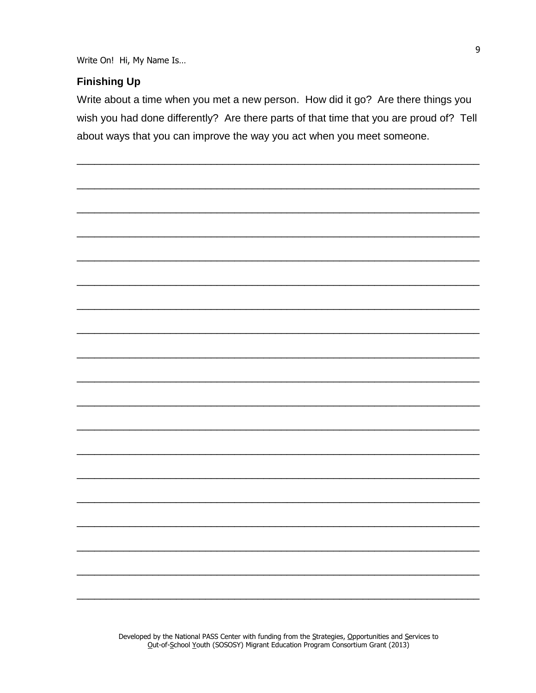# **Finishing Up**

Write about a time when you met a new person. How did it go? Are there things you wish you had done differently? Are there parts of that time that you are proud of? Tell about ways that you can improve the way you act when you meet someone.